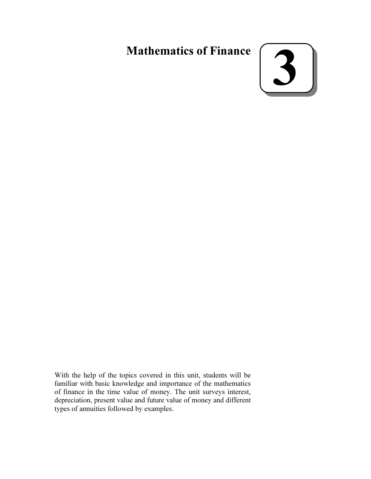# Mathematics of Finance



With the help of the topics covered in this unit, students will be familiar with basic knowledge and importance of the mathematics of finance in the time value of money. The unit surveys interest, depreciation, present value and future value of money and different types of annuities followed by examples.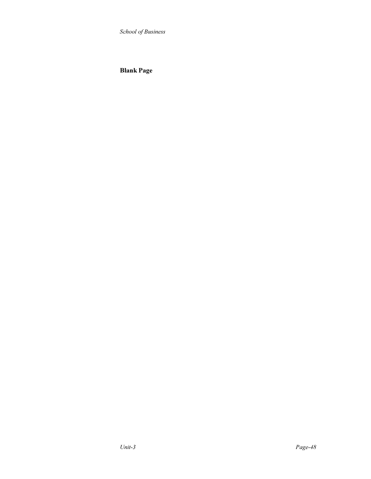Blank Page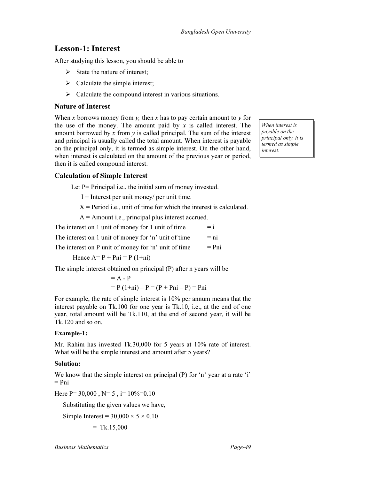## Lesson-1: Interest

After studying this lesson, you should be able to

- $\triangleright$  State the nature of interest;
- $\triangleright$  Calculate the simple interest;
- $\triangleright$  Calculate the compound interest in various situations.

## Nature of Interest

When x borrows money from y, then x has to pay certain amount to y for the use of the money. The amount paid by  $x$  is called interest. The amount borrowed by  $x$  from  $y$  is called principal. The sum of the interest and principal is usually called the total amount. When interest is payable on the principal only, it is termed as simple interest. On the other hand, when interest is calculated on the amount of the previous year or period, then it is called compound interest.

When interest is payable on the principal only, it is termed as simple interest.

## Calculation of Simple Interest

Let P= Principal i.e., the initial sum of money invested.

 $I =$  Interest per unit money/ per unit time.

 $X = Period$  i.e., unit of time for which the interest is calculated.

 $A =$  Amount i.e., principal plus interest accrued.

The interest on 1 unit of money for 1 unit of time  $= i$ The interest on 1 unit of money for 'n' unit of time  $= ni$ The interest on P unit of money for 'n' unit of time  $= Pn$ i

Hence  $A = P + Pni = P(1+ni)$ 

The simple interest obtained on principal (P) after n years will be

$$
= A - P
$$
  
= P (1+ni) – P = (P + Pni – P) = Pni

For example, the rate of simple interest is 10% per annum means that the interest payable on Tk.100 for one year is Tk.10, i.e., at the end of one year, total amount will be Tk.110, at the end of second year, it will be Tk.120 and so on.

#### Example-1:

Mr. Rahim has invested Tk.30,000 for 5 years at 10% rate of interest. What will be the simple interest and amount after 5 years?

#### Solution:

We know that the simple interest on principal (P) for 'n' year at a rate 'i'  $= Pni$ 

Here  $P= 30,000$ ,  $N= 5$ ,  $i= 10\% = 0.10$ 

Substituting the given values we have,

Simple Interest =  $30,000 \times 5 \times 0.10$ 

 $=$  Tk.15,000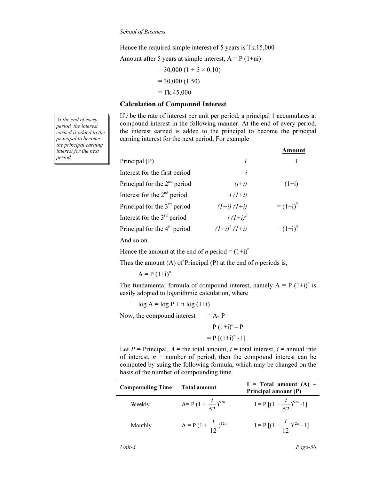Hence the required simple interest of 5 years is Tk.15,000

Amount after 5 years at simple interest,  $A = P(1+ni)$ 

$$
= 30,000 (1 + 5 \times 0.10)
$$

 $= 30,000 (1.50)$ 

 $=$  Tk.45,000

## Calculation of Compound Interest

If i be the rate of interest per unit per period, a principal 1 accumulates at compound interest in the following manner. At the end of every period, the interest earned is added to the principal to become the principal earning interest for the next period, For example

|                                          |                 | Amount      |
|------------------------------------------|-----------------|-------------|
| Principal (P)                            | $\overline{I}$  |             |
| Interest for the first period            | i               |             |
| Principal for the $2nd$ period           | $(i+i)$         | $(1+i)$     |
| Interest for the $2nd$ period            | $i(l+i)$        |             |
| Principal for the $3rd$ period           | $(1+i)$ $(1+i)$ | $= (1+i)^2$ |
| Interest for the $3rd$ period            | $i (1+i)^2$     |             |
| Principal for the 4 <sup>th</sup> period | $(1+i)^2 (1+i)$ | $= (1+i)^3$ |
|                                          |                 |             |

And so on.

Hence the amount at the end of *n* period =  $(1+i)^n$ 

Thus the amount (A) of Principal (P) at the end of  $n$  periods is,

 $A = P(1+i)^n$ 

The fundamental formula of compound interest, namely  $A = P (1+i)^n$  is easily adopted to logarithmic calculation, where

 $\log A = \log P + n \log (1+i)$ 

Now, the compound interest  $= A - P$ 

 $= P (1+i)^n - P$  $= P [(1+i)^{n} -1]$ 

Let P = Principal, A = the total amount, t = total interest,  $i$  = annual rate of interest,  $n =$  number of period; then the compound interest can be computed by suing the following formula, which may be changed on the basis of the number of compounding time.

| <b>Compounding Time</b> | <b>Total amount</b>                       | $I = Total amount (A) -$<br>Principal amount (P) |
|-------------------------|-------------------------------------------|--------------------------------------------------|
| Weekly                  | A= P $(1 + \frac{i}{52})^{52n}$           | $I = P [(1 + \frac{i}{52})^{52n} -1]$            |
| Monthly                 | A = P(1 + $\frac{i}{12}$ ) <sup>12n</sup> | $I = P [(1 + \frac{i}{12})^{12n} - 1]$           |

At the end of every period, the interest earned is added to the principal to become the principal earning interest for the next period.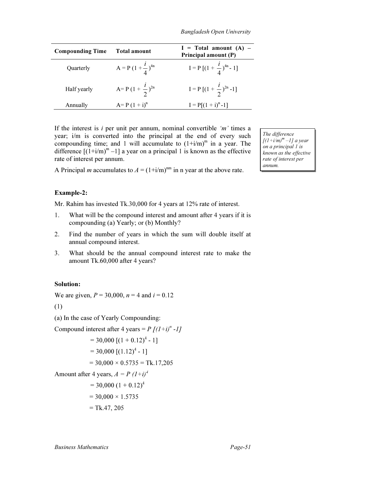Bangladesh Open University

| <b>Compounding Time</b> | <b>Total amount</b>           | $I = Total amount (A) -$<br>Principal amount (P) |
|-------------------------|-------------------------------|--------------------------------------------------|
| Quarterly               | $A = P(1 + \frac{i}{4})^{4n}$ | $I = P [(1 + \frac{i}{4})^{4n} - 1]$             |
| Half yearly             | A= P $(1 + \frac{l}{2})^{2n}$ | $I = P [(1 + \frac{i}{2})^{2n} -1]$              |
| Annually                | $A = P(1 + i)^n$              | $I = P[(1 + i)^{n} - 1]$                         |

If the interest is  $i$  per unit per annum, nominal convertible ' $m$ ' times a year; i/m is converted into the principal at the end of every such compounding time; and 1 will accumulate to  $(1+i/m)^m$  in a year. The difference  $[(1+i/m)^m -1]$  a year on a principal 1 is known as the effective rate of interest per annum.

The difference  $[(1+i/m)^m -1]$  a year on a principal 1 is known as the effective rate of interest per annum.

A Principal *m* accumulates to  $A = (1+i/m)^{nm}$  in n year at the above rate.

## Example-2:

Mr. Rahim has invested Tk.30,000 for 4 years at 12% rate of interest.

- 1. What will be the compound interest and amount after 4 years if it is compounding (a) Yearly; or (b) Monthly?
- 2. Find the number of years in which the sum will double itself at annual compound interest.
- 3. What should be the annual compound interest rate to make the amount Tk.60,000 after 4 years?

## Solution:

We are given,  $P = 30,000$ ,  $n = 4$  and  $i = 0.12$ 

(1)

(a) In the case of Yearly Compounding:

Compound interest after 4 years =  $P[(1+i)^n -1]$ 

$$
= 30,000 [(1 + 0.12)4 - 1]
$$
  
\n
$$
= 30,000 [(1.12)4 - 1]
$$
  
\n
$$
= 30,000 \times 0.5735 = \text{Tk}.17,205
$$
  
\nAmount after 4 years,  $A = P (1+i)4$   
\n
$$
= 30,000 (1 + 0.12)4
$$
  
\n
$$
= 30,000 \times 1.5735
$$
  
\n
$$
= \text{Tk}.47,205
$$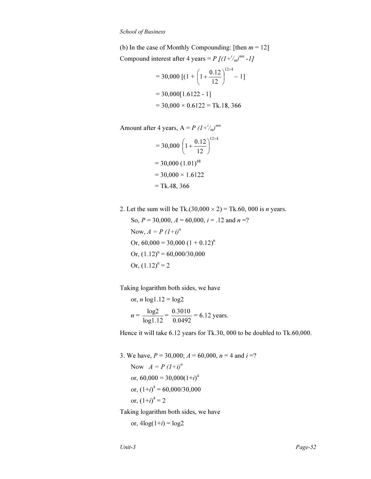(b) In the case of Monthly Compounding: [then  $m = 12$ ] Compound interest after 4 years =  $P[(1+i/m)^{mn} -1]$  $12\times4$ ×

$$
= 30,000 [(1 + (1 + \frac{0.12}{12})^{12\times4} - 1]
$$

$$
= 30,000[1.6122 - 1]
$$

$$
= 30,000 \times 0.6122 = \text{Tk}.18,366
$$

Amount after 4 years, A = 
$$
P (1 + i_{m})^{mn}
$$
  
= 30,000  $\left(1 + \frac{0.12}{12}\right)^{12\times4}$   
= 30,000  $(1.01)^{48}$   
= 30,000 × 1.6122  
= Tk.48, 366

2. Let the sum will be Tk.(30,000  $\times$  2) = Tk.60, 000 is *n* years.

So,  $P = 30,000$ ,  $A = 60,000$ ,  $i = .12$  and  $n = ?$ Now,  $A = P (1+i)^n$ Or,  $60,000 = 30,000 (1 + 0.12)^n$ Or,  $(1.12)^n = 60,000/30,000$ Or,  $(1.12)^n = 2$ 

Taking logarithm both sides, we have

or,  $n \log 1.12 = \log 2$  $n =$ log1.12  $\frac{\log 2}{\log 12} =$ 0.0492  $\frac{0.3010}{0.0402} = 6.12$  years.

Hence it will take 6.12 years for Tk.30, 000 to be doubled to Tk.60,000.

3. We have,  $P = 30,000$ ;  $A = 60,000$ ,  $n = 4$  and  $i = ?$ Now  $A = P (1+i)^n$ or,  $60,000 = 30,000(1+i)^4$ or,  $(1+i)^4 = 60,000/30,000$ or,  $(1+i)^4 = 2$ Taking logarithm both sides, we have or,  $4\log(1+i) = \log 2$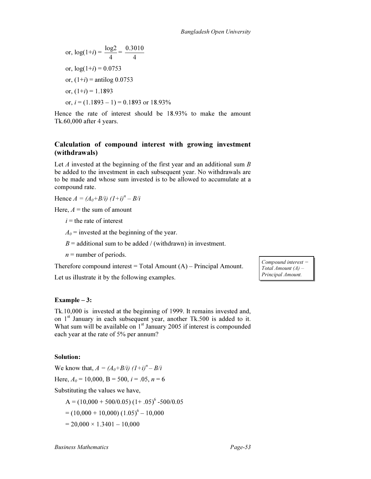or, 
$$
\log(1+i) = \frac{\log 2}{4} = \frac{0.3010}{4}
$$
  
or,  $\log(1+i) = 0.0753$   
or,  $(1+i) = \text{antilog } 0.0753$   
or,  $(1+i) = 1.1893$ 

or,  $i = (1.1893 - 1) = 0.1893$  or  $18.93\%$ 

Hence the rate of interest should be 18.93% to make the amount Tk.60,000 after 4 years.

## Calculation of compound interest with growing investment (withdrawals)

Let  $A$  invested at the beginning of the first year and an additional sum  $B$ be added to the investment in each subsequent year. No withdrawals are to be made and whose sum invested is to be allowed to accumulate at a compound rate.

Hence  $A = (A_0 + B/i) (1 + i)^n - B/i$ 

Here,  $A =$  the sum of amount

 $i$  = the rate of interest

 $A_0$  = invested at the beginning of the year.

 $B =$  additional sum to be added / (withdrawn) in investment.

 $n =$  number of periods.

Therefore compound interest = Total Amount  $(A)$  – Principal Amount.

Let us illustrate it by the following examples.

#### Example – 3:

Tk.10,000 is invested at the beginning of 1999. It remains invested and, on  $1<sup>st</sup>$  January in each subsequent year, another Tk.500 is added to it. What sum will be available on  $1<sup>st</sup>$  January 2005 if interest is compounded each year at the rate of 5% per annum?

#### Solution:

We know that,  $A = (A_0 + B/i) (1+i)^n - B/i$ Here,  $A_0 = 10,000$ , B = 500, i = .05, n = 6

Substituting the values we have,

 $A = (10,000 + 500/0.05) (1 + .05)^{6} - 500/0.05$  $= (10,000 + 10,000) (1.05)^{6} - 10,000$  $= 20,000 \times 1.3401 - 10,000$ 

Compound interest = Total Amount  $(A)$  – Principal Amount.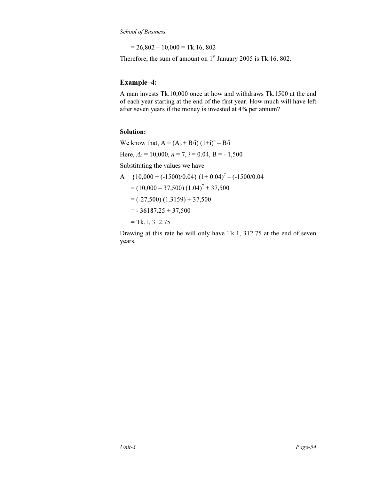$= 26,802 - 10,000 = Tk.16,802$ 

Therefore, the sum of amount on  $1<sup>st</sup>$  January 2005 is Tk.16, 802.

## Example–4:

A man invests Tk.10,000 once at how and withdraws Tk.1500 at the end of each year starting at the end of the first year. How much will have left after seven years if the money is invested at 4% per annum?

## Solution:

We know that,  $A = (A_0 + B/i) (1+i)^n - B/i$ Here,  $A_0 = 10,000$ ,  $n = 7$ ,  $i = 0.04$ ,  $B = -1,500$ Substituting the values we have  $A = \{10,000 + (-1500)/0.04\}$   $(1+0.04)^7 - (-1500/0.04)$  $=(10,000 - 37,500) (1.04)^{7} + 37,500$  $=$  (-27,500) (1.3159) + 37,500  $=$  - 36187.25 + 37,500  $=$  Tk.1, 312.75

Drawing at this rate he will only have Tk.1, 312.75 at the end of seven years.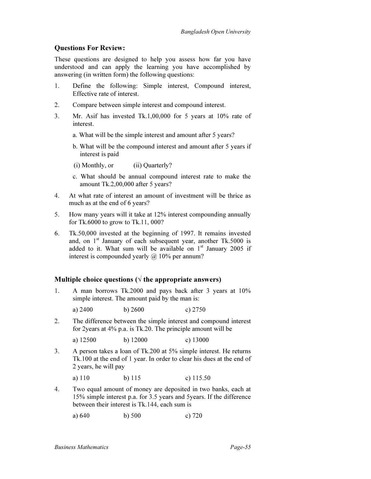#### Questions For Review:

These questions are designed to help you assess how far you have understood and can apply the learning you have accomplished by answering (in written form) the following questions:

- 1. Define the following: Simple interest, Compound interest, Effective rate of interest.
- 2. Compare between simple interest and compound interest.
- 3. Mr. Asif has invested Tk.1,00,000 for 5 years at 10% rate of interest.
	- a. What will be the simple interest and amount after 5 years?
	- b. What will be the compound interest and amount after 5 years if interest is paid
	- (i) Monthly, or (ii) Quarterly?
	- c. What should be annual compound interest rate to make the amount Tk.2,00,000 after 5 years?
- 4. At what rate of interest an amount of investment will be thrice as much as at the end of 6 years?
- 5. How many years will it take at 12% interest compounding annually for Tk.6000 to grow to Tk.11, 000?
- 6. Tk.50,000 invested at the beginning of 1997. It remains invested and, on  $1<sup>st</sup>$  January of each subsequent year, another Tk.5000 is added to it. What sum will be available on  $1<sup>st</sup>$  January 2005 if interest is compounded yearly  $\omega$  10% per annum?

## Multiple choice questions ( $\sqrt{}$  the appropriate answers)

1. A man borrows Tk.2000 and pays back after 3 years at 10% simple interest. The amount paid by the man is:

a) 2400 b) 2600 c) 2750

2. The difference between the simple interest and compound interest for 2years at 4% p.a. is Tk.20. The principle amount will be

a) 12500 b) 12000 c) 13000

3. A person takes a loan of Tk.200 at 5% simple interest. He returns Tk.100 at the end of 1 year. In order to clear his dues at the end of 2 years, he will pay

a) 110 b) 115 c) 115.50

4. Two equal amount of money are deposited in two banks, each at 15% simple interest p.a. for 3.5 years and 5years. If the difference between their interest is Tk.144, each sum is

a) 640 b) 500 c) 720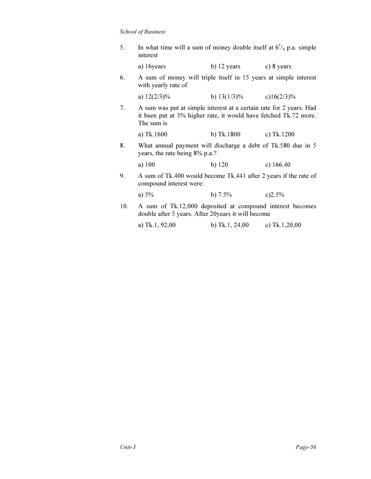| 5.  | In what time will a sum of money double itself at $6^{1/4}$ p.a. simple<br>interest                                                                   |                               |             |
|-----|-------------------------------------------------------------------------------------------------------------------------------------------------------|-------------------------------|-------------|
|     | a) 16 years                                                                                                                                           | b) $12$ years                 | c) 8 years  |
| 6.  | A sum of money will triple itself in 15 years at simple interest<br>with yearly rate of                                                               |                               |             |
|     | a) $12(2/3)\%$                                                                                                                                        | b) $13(1/3)\%$ c) $16(2/3)\%$ |             |
| 7.  | A sum was put at simple interest at a certain rate for 2 years. Had<br>it been put at 3% higher rate, it would have fetched Tk.72 more.<br>The sum is |                               |             |
|     | a) Tk.1600                                                                                                                                            | b) Tk.1800                    | c) Tk.1200  |
| 8.  | What annual payment will discharge a debt of Tk.580 due in 5<br>years, the rate being 8% p.a.?                                                        |                               |             |
|     | a) $100$                                                                                                                                              | $b)$ 120                      | c) $166.40$ |
| 9.  | A sum of Tk.400 would become Tk.441 after 2 years if the rate of<br>compound interest were:                                                           |                               |             |
|     | a) $5%$                                                                                                                                               | b) $7.5%$                     | c)2.5%      |
| 10. | A sum of Tk.12,000 deposited at compound interest becomes<br>double after 5 years. After 20 years it will become                                      |                               |             |
|     | a) Tk.1, 92,00                                                                                                                                        | b) Tk.1, 24,00 c) Tk.1,20,00  |             |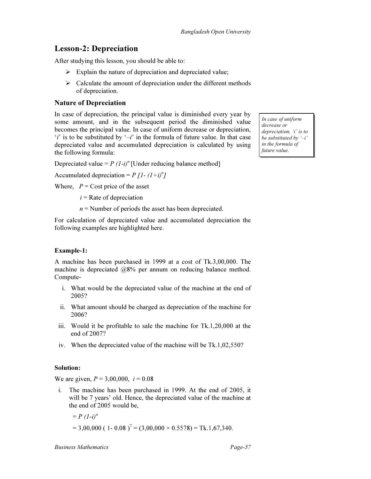## Lesson-2: Depreciation

After studying this lesson, you should be able to:

- $\triangleright$  Explain the nature of depreciation and depreciated value;
- $\triangleright$  Calculate the amount of depreciation under the different methods of depreciation.

## Nature of Depreciation

In case of depreciation, the principal value is diminished every year by some amount, and in the subsequent period the diminished value becomes the principal value. In case of uniform decrease or depreciation,  $i'$  is to be substituted by  $-1'$  in the formula of future value. In that case depreciated value and accumulated depreciation is calculated by using the following formula:

Depreciated value =  $P (1-i)^n$  [Under reducing balance method]

Accumulated depreciation =  $P [1-(1+i)^n]$ 

Where,  $P = \text{Cost price of the asset}$ 

 $i$  = Rate of depreciation

 $n =$ Number of periods the asset has been depreciated.

For calculation of depreciated value and accumulated depreciation the following examples are highlighted here.

#### Example-1:

A machine has been purchased in 1999 at a cost of Tk.3,00,000. The machine is depreciated  $(28\%$  per annum on reducing balance method. Compute-

- i. What would be the depreciated value of the machine at the end of 2005?
- ii. What amount should be charged as depreciation of the machine for 2006?
- iii. Would it be profitable to sale the machine for Tk.1,20,000 at the end of 2007?
- iv. When the depreciated value of the machine will be Tk.1,02,550?

#### Solution:

We are given,  $P = 3,00,000$ ,  $i = 0.08$ 

i. The machine has been purchased in 1999. At the end of 2005, it will be 7 years' old. Hence, the depreciated value of the machine at the end of 2005 would be,

$$
= P (1-i)^n
$$

 $= 3,00,000$  ( 1 - 0.08 )<sup>7</sup> = (3,00,000 × 0.5578) = Tk.1,67,340.

In case of uniform decrease or depreciation, 'i' is to be substituted by  $-i'$ in the formula of future value.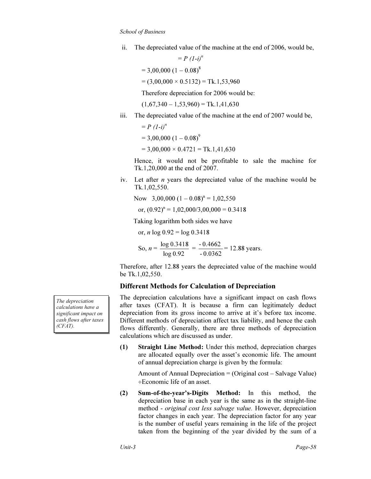ii. The depreciated value of the machine at the end of 2006, would be,

 $= P (1-i)^n$  $= 3,00,000 (1 - 0.08)^8$  $=(3,00,000 \times 0.5132) =$ Tk.1,53,960 Therefore depreciation for 2006 would be:  $(1,67,340 - 1,53,960) =$ Tk.1,41,630

iii. The depreciated value of the machine at the end of 2007 would be,

 $= P (1-i)^n$  $= 3,00,000$  (1 – 0.08)<sup>9</sup>  $= 3,00,000 \times 0.4721 =$ Tk.1,41,630

Hence, it would not be profitable to sale the machine for Tk.1,20,000 at the end of 2007.

iv. Let after  $n$  years the depreciated value of the machine would be Tk.1,02,550.

Now  $3,00,000 (1 - 0.08)^n = 1,02,550$ 

or,  $(0.92)^n = 1,02,000/3,00,000 = 0.3418$ 

Taking logarithm both sides we have

or, *n*  $log 0.92 = log 0.3418$ 

So, 
$$
n = \frac{\log 0.3418}{\log 0.92} = \frac{-0.4662}{-0.0362} = 12.88
$$
 years.

Therefore, after 12.88 years the depreciated value of the machine would be Tk.1,02,550.

## Different Methods for Calculation of Depreciation

The depreciation calculations have a significant impact on cash flows after taxes (CFAT). It is because a firm can legitimately deduct depreciation from its gross income to arrive at it's before tax income. Different methods of depreciation affect tax liability, and hence the cash flows differently. Generally, there are three methods of depreciation calculations which are discussed as under.

(1) Straight Line Method: Under this method, depreciation charges are allocated equally over the asset's economic life. The amount of annual depreciation charge is given by the formula:

 Amount of Annual Depreciation = (Original cost – Salvage Value) ÷Economic life of an asset.

(2) Sum-of-the-year's-Digits Method: In this method, the depreciation base in each year is the same as in the straight-line method - original cost less salvage value. However, depreciation factor changes in each year. The depreciation factor for any year is the number of useful years remaining in the life of the project taken from the beginning of the year divided by the sum of a

The depreciation calculations have a significant impact on cash flows after taxes (CFAT).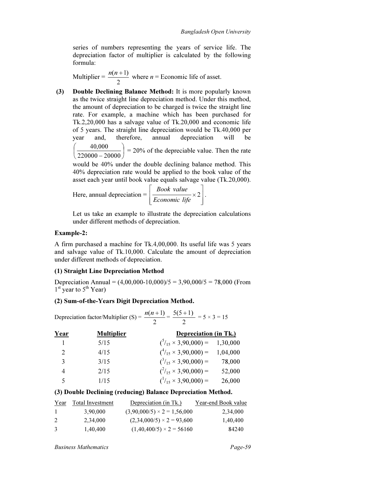series of numbers representing the years of service life. The depreciation factor of multiplier is calculated by the following formula:

Multiplier = 
$$
\frac{n(n+1)}{2}
$$
 where  $n$  = Economic life of asset.

 (3) Double Declining Balance Method: It is more popularly known as the twice straight line depreciation method. Under this method, the amount of depreciation to be charged is twice the straight line rate. For example, a machine which has been purchased for Tk.2,20,000 has a salvage value of Tk.20,000 and economic life of 5 years. The straight line depreciation would be Tk.40,000 per year and, therefore, annual depreciation will be

 $\overline{\phantom{a}}$ J  $\backslash$ L  $(220000 - 20000)$ ſ ,40 <sup>000</sup> = 20% of the depreciable value. Then the rate

would be 40% under the double declining balance method. This 40% depreciation rate would be applied to the book value of the asset each year until book value equals salvage value (Tk.20,000).

Here, annual depreciation = 
$$
\left[\frac{Book \ value}{Economic \ life} \times 2\right].
$$

 Let us take an example to illustrate the depreciation calculations under different methods of depreciation.

#### Example-2:

A firm purchased a machine for Tk.4,00,000. Its useful life was 5 years and salvage value of Tk.10,000. Calculate the amount of depreciation under different methods of depreciation.

#### (1) Straight Line Depreciation Method

Depreciation Annual =  $(4,00,000-10,000)/5 = 3,90,000/5 = 78,000$  (From  $1<sup>st</sup>$  year to  $5<sup>th</sup>$  Year)

## (2) Sum-of-the-Years Digit Depreciation Method.

| Depreciation factor/Multiplier (S) = $\frac{n(n+1)}{n} = \frac{5(5+1)}{n} = 5 \times 3 = 15$ |  |  |
|----------------------------------------------------------------------------------------------|--|--|
|                                                                                              |  |  |

| <b>Multiplier</b> | Depreciation (in Tk.)                  |        |
|-------------------|----------------------------------------|--------|
| 5/15              | $\binom{5}{15}$ × 3,90,000) = 1,30,000 |        |
| 4/15              | $\binom{4}{15}$ × 3,90,000) = 1,04,000 |        |
| 3/15              | $\binom{3}{15}$ × 3,90,000) =          | 78,000 |
| 2/15              | $\binom{2}{15}$ × 3,90,000) =          | 52,000 |
| 1/15              | $\binom{1}{15}$ × 3,90,000) =          | 26,000 |
|                   |                                        |        |

#### (3) Double Declining (reducing) Balance Depreciation Method.

| Year          | Total Investment | Depreciation (in Tk.)              | Year-end Book value |
|---------------|------------------|------------------------------------|---------------------|
| $\mathbf{I}$  | 3,90,000         | $(3,90,000/5) \times 2 = 1,56,000$ | 2,34,000            |
| 2             | 2.34.000         | $(2,34,000/5) \times 2 = 93,600$   | 1,40,400            |
| $\mathcal{F}$ | 1,40,400         | $(1,40,400/5) \times 2 = 56160$    | 84240               |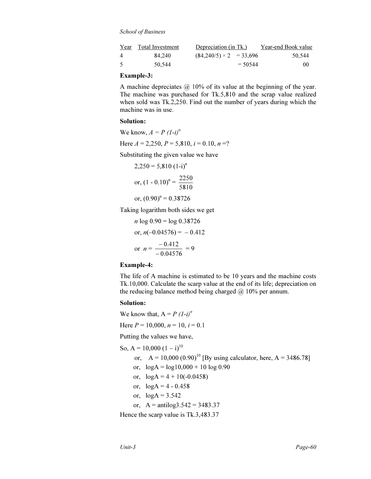School of Business

| Year           | Total Investment | Depreciation (in Tk.)          | Year-end Book value |
|----------------|------------------|--------------------------------|---------------------|
| $\overline{4}$ | 84.240           | $(84,240/5) \times 2 = 33,696$ | 50.544              |
| - 5            | 50.544           | $= 50544$                      | 00                  |

### Example-3:

A machine depreciates  $\omega$  10% of its value at the beginning of the year. The machine was purchased for Tk.5,810 and the scrap value realized when sold was Tk.2,250. Find out the number of years during which the machine was in use.

## Solution:

We know,  $A = P (1-i)^n$ Here  $A = 2,250$ ,  $P = 5,810$ ,  $i = 0.10$ ,  $n = ?$ 

Substituting the given value we have

 $2,250 = 5,810 (1-i)^n$ or,  $(1 - 0.10)^n = \frac{22500}{5810}$ 2250

or,  $(0.90)^n = 0.38726$ 

Taking logarithm both sides we get

*n* log 0.90 = log 0.38726  
or, 
$$
n(-0.04576) = -0.412
$$
  
or  $n = \frac{-0.412}{-0.04576} = 9$ 

## Example-4:

The life of A machine is estimated to be 10 years and the machine costs Tk.10,000. Calculate the scarp value at the end of its life; depreciation on the reducing balance method being charged  $\omega$  10% per annum.

## Solution:

We know that,  $A = P (1-i)^n$ 

Here  $P = 10,000, n = 10, i = 0.1$ 

Putting the values we have,

So, A = 10,000  $(1 - i)^{10}$ 

- or,  $A = 10,000 (0.90)^{10}$  [By using calculator, here,  $A = 3486.78$ ]
- or,  $log A = log 10,000 + 10 log 0.90$
- or,  $log A = 4 + 10(-0.0458)$
- or,  $log A = 4 0.458$
- or,  $log A = 3.542$
- or,  $A = antilog 3.542 = 3483.37$

Hence the scarp value is Tk.3,483.37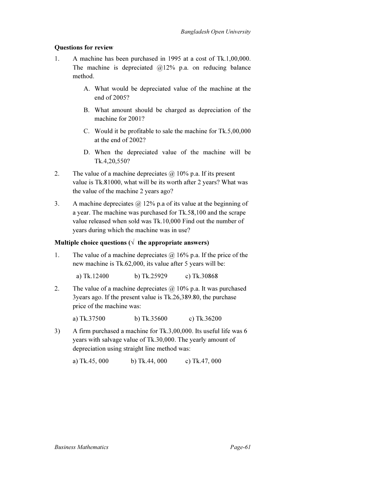## Questions for review

- 1. A machine has been purchased in 1995 at a cost of Tk.1,00,000. The machine is depreciated  $(a)$ 12% p.a. on reducing balance method.
	- A. What would be depreciated value of the machine at the end of 2005?
	- B. What amount should be charged as depreciation of the machine for 2001?
	- C. Would it be profitable to sale the machine for Tk.5,00,000 at the end of 2002?
	- D. When the depreciated value of the machine will be Tk.4,20,550?
- 2. The value of a machine depreciates  $\omega$  10% p.a. If its present value is Tk.81000, what will be its worth after 2 years? What was the value of the machine 2 years ago?
- 3. A machine depreciates  $\omega$  12% p.a of its value at the beginning of a year. The machine was purchased for Tk.58,100 and the scrape value released when sold was Tk.10,000 Find out the number of years during which the machine was in use?

## Multiple choice questions ( $\sqrt{ }$  the appropriate answers)

1. The value of a machine depreciates  $\omega$  16% p.a. If the price of the new machine is Tk.62,000, its value after 5 years will be:

a) Tk.12400 b) Tk.25929 c) Tk.30868

2. The value of a machine depreciates  $\omega$  10% p.a. It was purchased 3years ago. If the present value is Tk.26,389.80, the purchase price of the machine was:

3) A firm purchased a machine for Tk.3,00,000. Its useful life was 6 years with salvage value of Tk.30,000. The yearly amount of depreciation using straight line method was:

a) Tk.45, 000 b) Tk.44, 000 c) Tk.47, 000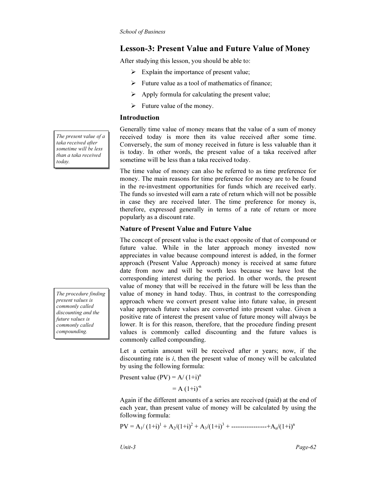# Lesson-3: Present Value and Future Value of Money

After studying this lesson, you should be able to:

- $\triangleright$  Explain the importance of present value;
- $\triangleright$  Future value as a tool of mathematics of finance;
- $\triangleright$  Apply formula for calculating the present value;
- $\triangleright$  Future value of the money.

#### Introduction

Generally time value of money means that the value of a sum of money received today is more then its value received after some time. Conversely, the sum of money received in future is less valuable than it is today. In other words, the present value of a taka received after sometime will be less than a taka received today.

The time value of money can also be referred to as time preference for money. The main reasons for time preference for money are to be found in the re-investment opportunities for funds which are received early. The funds so invested will earn a rate of return which will not be possible in case they are received later. The time preference for money is, therefore, expressed generally in terms of a rate of return or more popularly as a discount rate.

### Nature of Present Value and Future Value

The concept of present value is the exact opposite of that of compound or future value. While in the later approach money invested now appreciates in value because compound interest is added, in the former approach (Present Value Approach) money is received at same future date from now and will be worth less because we have lost the corresponding interest during the period. In other words, the present value of money that will be received in the future will be less than the value of money in hand today. Thus, in contrast to the corresponding approach where we convert present value into future value, in present value approach future values are converted into present value. Given a positive rate of interest the present value of future money will always be lower. It is for this reason, therefore, that the procedure finding present values is commonly called discounting and the future values is commonly called compounding.

Let a certain amount will be received after  $n$  years; now, if the discounting rate is  $i$ , then the present value of money will be calculated by using the following formula:

Present value  $(PV) = A/(1+i)^n$ 

 $= A (1+i)^{-n}$ 

Again if the different amounts of a series are received (paid) at the end of each year, than present value of money will be calculated by using the following formula:

 $PV = A_1/(1+i)^1 + A_2/(1+i)^2 + A_3/(1+i)^3 + \dots + A_n/(1+i)^n$ 

The present value of a taka received after sometime will be less than a taka received today.

The procedure finding present values is commonly called discounting and the future values is commonly called compounding.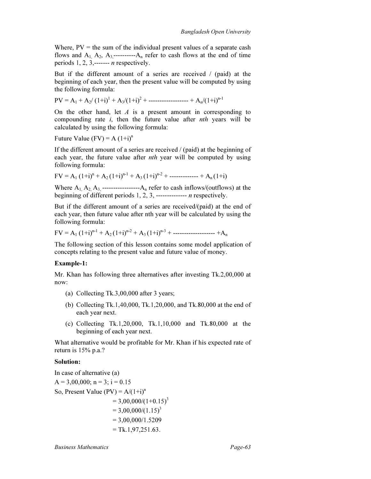Where,  $PV =$  the sum of the individual present values of a separate cash flows and  $A_1$ ,  $A_2$ ,  $A_3$ ---------- $A_n$  refer to cash flows at the end of time periods  $1, 2, 3, \dots$  n respectively.

But if the different amount of a series are received / (paid) at the beginning of each year, then the present value will be computed by using the following formula:

 $PV = A_1 + A_2/(1+i)^1 + A_3/(1+i)^2 + \dots + A_n/(1+i)^{n-1}$ 

On the other hand, let  $A$  is a present amount in corresponding to compounding rate  $i$ , then the future value after *nth* years will be calculated by using the following formula:

#### Future Value (FV) =  $A (1+i)^n$

If the different amount of a series are received / (paid) at the beginning of each year, the future value after *nth* year will be computed by using following formula:

 $FV = A_1 (1+i)^n + A_2 (1+i)^{n-1} + A_3 (1+i)^{n-2} + \dots + A_n (1+i)$ 

Where A1, A2, A3, -----------------An refer to cash inflows/(outflows) at the beginning of different periods  $1, 2, 3,$  -------------- *n* respectively.

But if the different amount of a series are received/(paid) at the end of each year, then future value after nth year will be calculated by using the following formula:

 $FV = A_1 (1+i)^{n-1} + A_2 (1+i)^{n-2} + A_3 (1+i)^{n-3} + \dots + A_n$ 

The following section of this lesson contains some model application of concepts relating to the present value and future value of money.

#### Example-1:

Mr. Khan has following three alternatives after investing Tk.2,00,000 at now:

- (a) Collecting Tk.3,00,000 after 3 years;
- (b) Collecting Tk.1,40,000, Tk.1,20,000, and Tk.80,000 at the end of each year next.
- (c) Collecting Tk.1,20,000, Tk.1,10,000 and Tk.80,000 at the beginning of each year next.

What alternative would be profitable for Mr. Khan if his expected rate of return is 15% p.a.?

#### Solution:

In case of alternative (a)  $A = 3,00,000; n = 3; i = 0.15$ So, Present Value (PV) =  $A/(1+i)^n$  $= 3,00,000/(1+0.15)^{3}$  $= 3,00,000/(1.15)^3$  $= 3,00,000/1.5209$  $=$  Tk.1,97,251.63.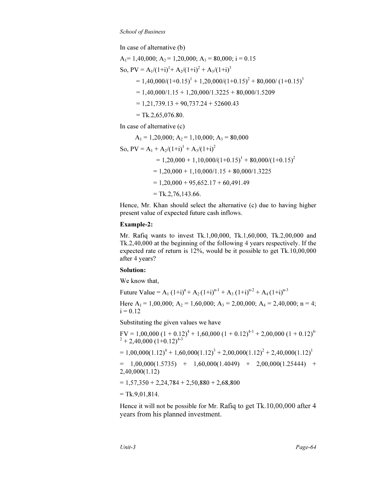In case of alternative (b)

A1= 1,40,000; A2 = 1,20,000; A3 = 80,000; i = 0.15 So, PV = A1/(1+i)<sup>1</sup> + A2/(1+i)<sup>2</sup> + A3/(1+i)<sup>3</sup> = 1,40,000/(1+0.15)<sup>1</sup> + 1,20,000/(1+0.15)<sup>2</sup> + 80,000/ (1+0.15)<sup>3</sup> = 1,40,000/1.15 + 1,20,000/1.3225 + 80,000/1.5209 = 1,21,739.13 + 90,737.24 + 52600.43 = Tk.2,65,076.80.

In case of alternative (c)

$$
A_1 = 1,20,000; A_2 = 1,10,000; A_3 = 80,000
$$
  
So, PV = A<sub>1</sub> + A<sub>2</sub>/(1+i)<sup>1</sup> + A<sub>3</sub>/(1+i)<sup>2</sup>  
= 1,20,000 + 1,10,000/(1+0.15)<sup>1</sup> + 80,000/(1+0.15)<sup>2</sup>  
= 1,20,000 + 1,10,000/1.15 + 80,000/1.3225  
= 1,20,000 + 95,652.17 + 60,491.49  
= Tk.2,76,143.66.

Hence, Mr. Khan should select the alternative (c) due to having higher present value of expected future cash inflows.

## Example-2:

Mr. Rafiq wants to invest Tk.1,00,000, Tk.1,60,000, Tk.2,00,000 and Tk.2,40,000 at the beginning of the following 4 years respectively. If the expected rate of return is 12%, would be it possible to get Tk.10,00,000 after 4 years?

## Solution:

We know that,

Future Value = A<sub>1</sub>  $(1+i)^{n}$  + A<sub>2</sub>  $(1+i)^{n-1}$  + A<sub>3</sub>  $(1+i)^{n-2}$  + A<sub>4</sub>  $(1+i)^{n-3}$ 

Here  $A_1 = 1,00,000$ ;  $A_2 = 1,60,000$ ;  $A_3 = 2,00,000$ ;  $A_4 = 2,40,000$ ; n = 4;  $i = 0.12$ 

Substituting the given values we have

FV = 1,00,000 (1 + 0.12)<sup>4</sup> + 1,60,000 (1 + 0.12)<sup>4-1</sup> + 2,00,000 (1 + 0.12)<sup>4-2</sup> + 2,40,000 (1 + 0.12)<sup>4-3</sup>  $= 1,00,000(1.12)^4 + 1,60,000(1.12)^3 + 2,00,000(1.12)^2 + 2,40,000(1.12)^1$  $= 1,00,000(1.5735) + 1,60,000(1.4049) + 2,00,000(1.25444) +$ 2,40,000(1.12)  $= 1,57,350 + 2,24,784 + 2,50,880 + 2,68,800$  $=$  Tk.9,01,814.

Hence it will not be possible for Mr. Rafiq to get Tk.10,00,000 after 4 years from his planned investment.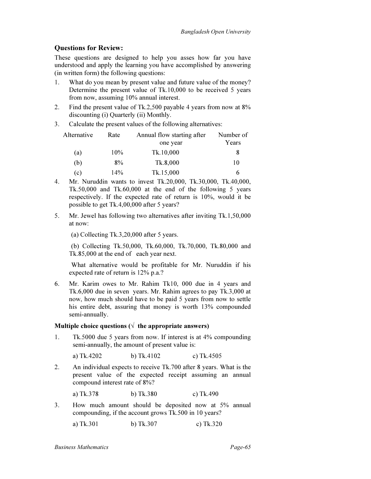## Questions for Review:

These questions are designed to help you asses how far you have understood and apply the learning you have accomplished by answering (in written form) the following questions:

- 1. What do you mean by present value and future value of the money? Determine the present value of Tk.10,000 to be received 5 years from now, assuming 10% annual interest.
- 2. Find the present value of Tk.2,500 payable 4 years from now at 8% discounting (i) Quarterly (ii) Monthly.
- 3. Calculate the present values of the following alternatives:

| Alternative | Annual flow starting after<br>Rate |           | Number of |
|-------------|------------------------------------|-----------|-----------|
|             |                                    | one year  | Years     |
| (a)         | 10%                                | Tk.10,000 | 8         |
| (b)         | 8%                                 | Tk.8,000  | 10        |
| (c)         | $14\%$                             | Tk.15,000 | 6         |

- 4. Mr. Nuruddin wants to invest Tk.20,000, Tk.30,000, Tk.40,000, Tk.50,000 and Tk.60,000 at the end of the following 5 years respectively. If the expected rate of return is 10%, would it be possible to get Tk.4,00,000 after 5 years?
- 5. Mr. Jewel has following two alternatives after inviting Tk.1,50,000 at now:

(a) Collecting Tk.3,20,000 after 5 years.

 (b) Collecting Tk.50,000, Tk.60,000, Tk.70,000, Tk.80,000 and Tk.85,000 at the end of each year next.

 What alternative would be profitable for Mr. Nuruddin if his expected rate of return is 12% p.a.?

6. Mr. Karim owes to Mr. Rahim Tk10, 000 due in 4 years and Tk.6,000 due in seven years. Mr. Rahim agrees to pay Tk.3,000 at now, how much should have to be paid 5 years from now to settle his entire debt, assuring that money is worth 13% compounded semi-annually.

# Multiple choice questions ( $\sqrt{ }$  the appropriate answers)

1. Tk.5000 due 5 years from now. If interest is at 4% compounding semi-annually, the amount of present value is:

a) Tk.4202 b) Tk.4102 c) Tk.4505

2. An individual expects to receive Tk.700 after 8 years. What is the present value of the expected receipt assuming an annual compound interest rate of 8%?

a) Tk.378 b) Tk.380 c) Tk.490

3. How much amount should be deposited now at 5% annual compounding, if the account grows Tk.500 in 10 years?

a) Tk.301 b) Tk.307 c) Tk.320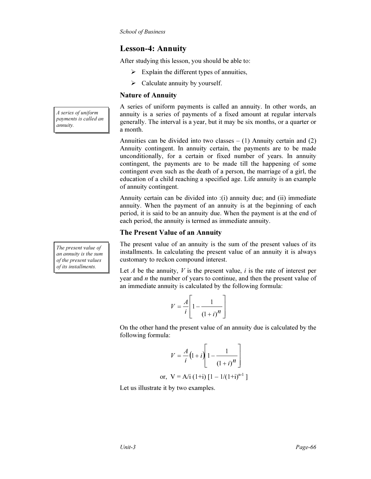# Lesson-4: Annuity

After studying this lesson, you should be able to:

- $\triangleright$  Explain the different types of annuities,
- $\triangleright$  Calculate annuity by yourself.

## Nature of Annuity

A series of uniform payments is called an annuity. In other words, an annuity is a series of payments of a fixed amount at regular intervals generally. The interval is a year, but it may be six months, or a quarter or a month.

Annuities can be divided into two classes  $- (1)$  Annuity certain and  $(2)$ Annuity contingent. In annuity certain, the payments are to be made unconditionally, for a certain or fixed number of years. In annuity contingent, the payments are to be made till the happening of some contingent even such as the death of a person, the marriage of a girl, the education of a child reaching a specified age. Life annuity is an example of annuity contingent.

Annuity certain can be divided into :(i) annuity due; and (ii) immediate annuity. When the payment of an annuity is at the beginning of each period, it is said to be an annuity due. When the payment is at the end of each period, the annuity is termed as immediate annuity.

## The Present Value of an Annuity

The present value of an annuity is the sum of the present values of its installments. In calculating the present value of an annuity it is always customary to reckon compound interest.

Let A be the annuity, V is the present value, i is the rate of interest per year and  $n$  the number of years to continue, and then the present value of an immediate annuity is calculated by the following formula:

$$
V = \frac{A}{i} \left[ 1 - \frac{1}{(1+i)^n} \right]
$$

On the other hand the present value of an annuity due is calculated by the following formula:

$$
V = \frac{A}{i} (1 + i) \left[ 1 - \frac{1}{(1 + i)^n} \right]
$$
  
or, V = A/i (1+i) [1 - 1/(1+i)^{n-1}]

Let us illustrate it by two examples.

A series of uniform payments is called an annuity.

The present value of an annuity is the sum of the present values of its installments.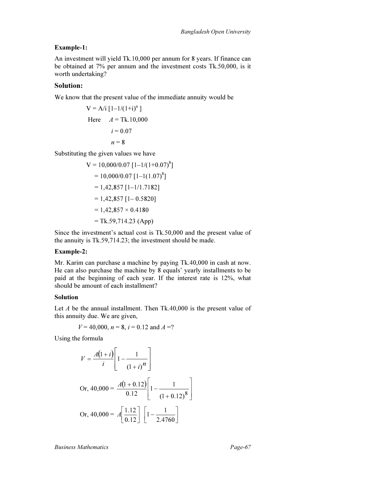#### Example-1:

An investment will yield Tk.10,000 per annum for 8 years. If finance can be obtained at 7% per annum and the investment costs Tk.50,000, is it worth undertaking?

#### Solution:

We know that the present value of the immediate annuity would be

$$
V = A/i [1-1/(1+i)^{n}]
$$
  
Here  $A = Tk.10,000$   
 $i = 0.07$   
 $n = 8$ 

Substituting the given values we have

$$
V = 10,000/0.07 [1-1/(1+0.07)8]
$$
  
= 10,000/0.07 [1-1(1.07)<sup>8</sup>]  
= 1,42,857 [1-1/1.7182]  
= 1,42,857 [1- 0.5820]  
= 1,42,857 × 0.4180  
= Tk.59,714.23 (App)

Since the investment's actual cost is Tk.50,000 and the present value of the annuity is Tk.59,714.23; the investment should be made.

#### Example-2:

Mr. Karim can purchase a machine by paying Tk.40,000 in cash at now. He can also purchase the machine by 8 equals' yearly installments to be paid at the beginning of each year. If the interest rate is 12%, what should be amount of each installment?

#### Solution

Let  $A$  be the annual installment. Then Tk.40,000 is the present value of this annuity due. We are given,

$$
V = 40,000, n = 8, i = 0.12
$$
 and  $A = ?$ 

Using the formula

$$
V = \frac{A(1+i)}{i} \left[ 1 - \frac{1}{(1+i)^n} \right]
$$
  
Or, 40,000 = 
$$
\frac{A(1+0.12)}{0.12} \left[ 1 - \frac{1}{(1+0.12)^8} \right]
$$
  
Or, 40,000 = 
$$
A \left[ \frac{1.12}{0.12} \right] \left[ 1 - \frac{1}{2.4760} \right]
$$

Business Mathematics Page-67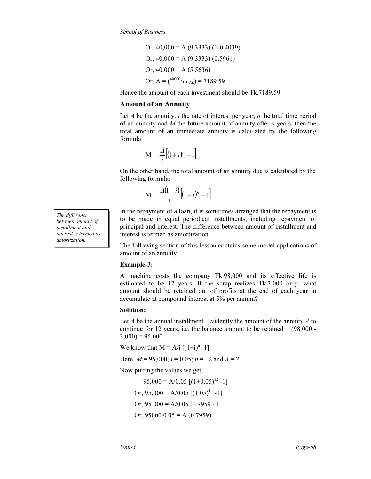Or, 40,000 = A (9.3333) (1-0.4039)  
Or, 40,000 = A (9.3333) (0.5961)  
Or, 40,000 = A (5.5636)  
Or, A = 
$$
\binom{40000}{5,5636}
$$
 = 7189.59

Hence the amount of each investment should be Tk.7189.59

#### Amount of an Annuity

Let  $A$  be the annuity, i the rate of interest per year,  $n$  the total time period of an annuity and  $M$  the future amount of annuity after  $n$  years, then the total amount of an immediate annuity is calculated by the following formula:

$$
M = \frac{A}{i} \left[ (1+i)^n - 1 \right]
$$

On the other hand, the total amount of an annuity due is calculated by the following formula:

$$
M = \frac{A(1+i)}{i} \big[ (1+i)^n - 1 \big]
$$

In the repayment of a loan, it is sometimes arranged that the repayment is to be made in equal periodical installments, including repayment of principal and interest. The difference between amount of installment and interest is termed as amortization.

The following section of this lesson contains some model applications of amount of an annuity.

#### Example-3:

A machine costs the company Tk.98,000 and its effective life is estimated to be 12 years. If the scrap realizes Tk.3,000 only, what amount should be retained out of profits at the end of each year to accumulate at compound interest at 5% per annum?

#### Solution:

Let  $A$  be the annual installment. Evidently the amount of the annuity  $A$  to continue for 12 years, i.e. the balance amount to be retained  $= (98,000 3,000$ ) = 95,000

We know that  $M = A/i$  [ $(1+i)^n -1$ ]

Here,  $M = 95,000$ ;  $i = 0.05$ ;  $n = 12$  and  $A = ?$ 

Now putting the values we get,

 $95,000 = A/0.05 [(1+0.05)^{12} -1]$ Or,  $95,000 = A/0.05$   $[(1.05)^{12} -1]$ Or,  $95,000 = A/0.05$  [1.7959 - 1] Or,  $95000$   $0.05 = A(0.7959)$ 

The difference between amount of installment and interest is termed as amortization.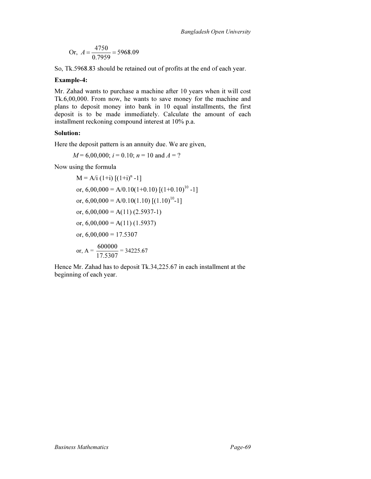Or, 
$$
A = \frac{4750}{0.7959} = 5968.09
$$

So, Tk.5968.83 should be retained out of profits at the end of each year.

### Example-4:

Mr. Zahad wants to purchase a machine after 10 years when it will cost Tk.6,00,000. From now, he wants to save money for the machine and plans to deposit money into bank in 10 equal installments, the first deposit is to be made immediately. Calculate the amount of each installment reckoning compound interest at 10% p.a.

## Solution:

Here the deposit pattern is an annuity due. We are given,

 $M = 6,00,000; i = 0.10; n = 10$  and  $A = ?$ 

Now using the formula

$$
M = A/i (1+i) [(1+i)^{n} -1]
$$
  
or, 6,00,000 = A/0.10(1+0.10) [(1+0.10)^{10} -1]  
or, 6,00,000 = A/0.10(1.10) [(1.10)^{10} -1]  
or, 6,00,000 = A(11) (2.5937-1)  
or, 6,00,000 = A(11) (1.5937)  
or, 6,00,000 = 17.5307  
or, A = 
$$
\frac{600000}{17.5307} = 34225.67
$$

Hence Mr. Zahad has to deposit Tk.34,225.67 in each installment at the beginning of each year.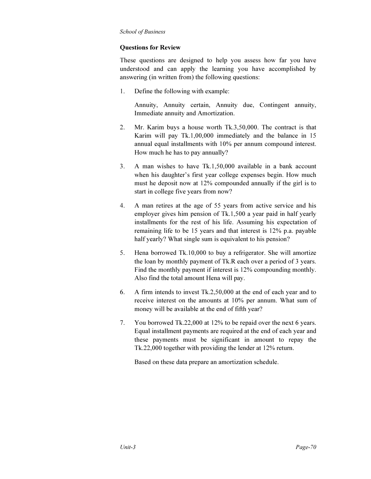# Questions for Review

These questions are designed to help you assess how far you have understood and can apply the learning you have accomplished by answering (in written from) the following questions:

1. Define the following with example:

 Annuity, Annuity certain, Annuity due, Contingent annuity, Immediate annuity and Amortization.

- 2. Mr. Karim buys a house worth Tk.3,50,000. The contract is that Karim will pay Tk.1,00,000 immediately and the balance in 15 annual equal installments with 10% per annum compound interest. How much he has to pay annually?
- 3. A man wishes to have Tk.1,50,000 available in a bank account when his daughter's first year college expenses begin. How much must he deposit now at 12% compounded annually if the girl is to start in college five years from now?
- 4. A man retires at the age of 55 years from active service and his employer gives him pension of Tk.1,500 a year paid in half yearly installments for the rest of his life. Assuming his expectation of remaining life to be 15 years and that interest is 12% p.a. payable half yearly? What single sum is equivalent to his pension?
- 5. Hena borrowed Tk.10,000 to buy a refrigerator. She will amortize the loan by monthly payment of Tk.R each over a period of 3 years. Find the monthly payment if interest is 12% compounding monthly. Also find the total amount Hena will pay.
- 6. A firm intends to invest Tk.2,50,000 at the end of each year and to receive interest on the amounts at 10% per annum. What sum of money will be available at the end of fifth year?
- 7. You borrowed Tk.22,000 at 12% to be repaid over the next 6 years. Equal installment payments are required at the end of each year and these payments must be significant in amount to repay the Tk.22,000 together with providing the lender at 12% return.

Based on these data prepare an amortization schedule.